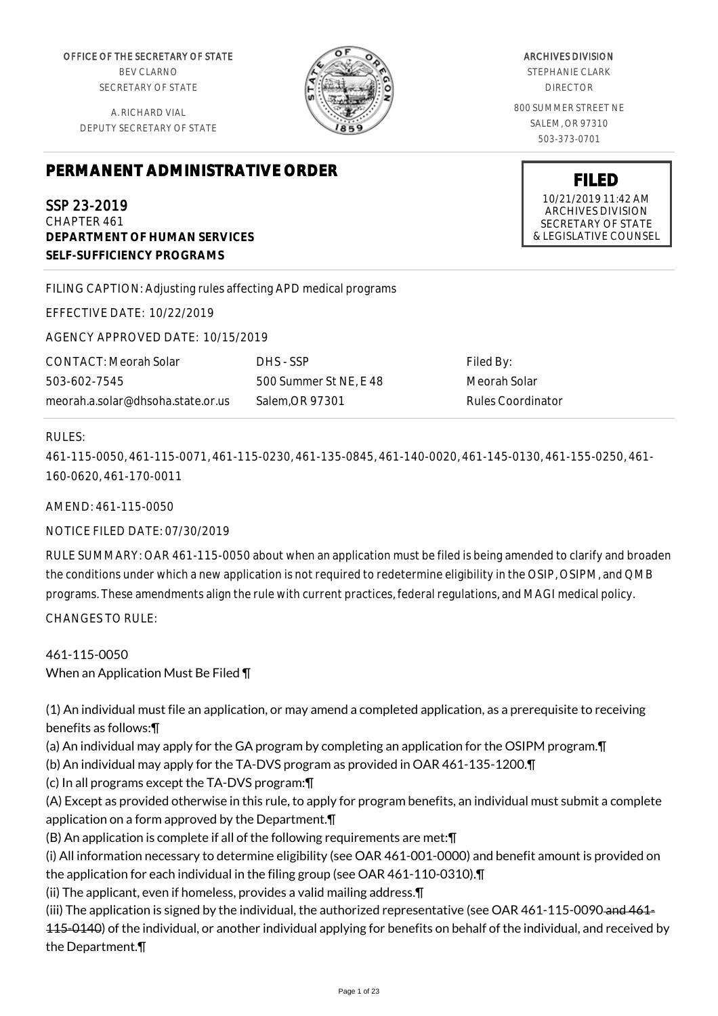OFFICE OF THE SECRETARY OF STATE BEV CLARNO SECRETARY OF STATE

A. RICHARD VIAL DEPUTY SECRETARY OF STATE

ARCHIVES DIVISION STEPHANIE CLARK DIRECTOR 800 SUMMER STREET NE

> SALEM, OR 97310 503-373-0701

**FILED** 10/21/2019 11:42 AM ARCHIVES DIVISION SECRETARY OF STATE & LEGISLATIVE COUNSEL

# **PERMANENT ADMINISTRATIVE ORDER**

SSP 23-2019 CHAPTER 461 **DEPARTMENT OF HUMAN SERVICES SELF-SUFFICIENCY PROGRAMS**

FILING CAPTION: Adjusting rules affecting APD medical programs

EFFECTIVE DATE: 10/22/2019

AGENCY APPROVED DATE: 10/15/2019

CONTACT: Meorah Solar 503-602-7545 meorah.a.solar@dhsoha.state.or.us DHS - SSP 500 Summer St NE, E 48 Salem,OR 97301

Filed By: Meorah Solar Rules Coordinator

# RULES:

461-115-0050, 461-115-0071, 461-115-0230, 461-135-0845, 461-140-0020, 461-145-0130, 461-155-0250, 461- 160-0620, 461-170-0011

AMEND: 461-115-0050

NOTICE FILED DATE: 07/30/2019

RULE SUMMARY: OAR 461-115-0050 about when an application must be filed is being amended to clarify and broaden the conditions under which a new application is not required to redetermine eligibility in the OSIP, OSIPM, and QMB programs. These amendments align the rule with current practices, federal regulations, and MAGI medical policy. CHANGES TO RULE:

461-115-0050 When an Application Must Be Filed ¶

(1) An individual must file an application, or may amend a completed application, as a prerequisite to receiving benefits as follows:¶

(a) An individual may apply for the GA program by completing an application for the OSIPM program.¶

(b) An individual may apply for the TA-DVS program as provided in OAR 461-135-1200.¶

(c) In all programs except the TA-DVS program:¶

(A) Except as provided otherwise in this rule, to apply for program benefits, an individual must submit a complete application on a form approved by the Department.¶

(B) An application is complete if all of the following requirements are met:¶

(i) All information necessary to determine eligibility (see OAR 461-001-0000) and benefit amount is provided on the application for each individual in the filing group (see OAR 461-110-0310).¶

(ii) The applicant, even if homeless, provides a valid mailing address.¶

(iii) The application is signed by the individual, the authorized representative (see OAR 461-115-0090 and 461-115-0140) of the individual, or another individual applying for benefits on behalf of the individual, and received by the Department.¶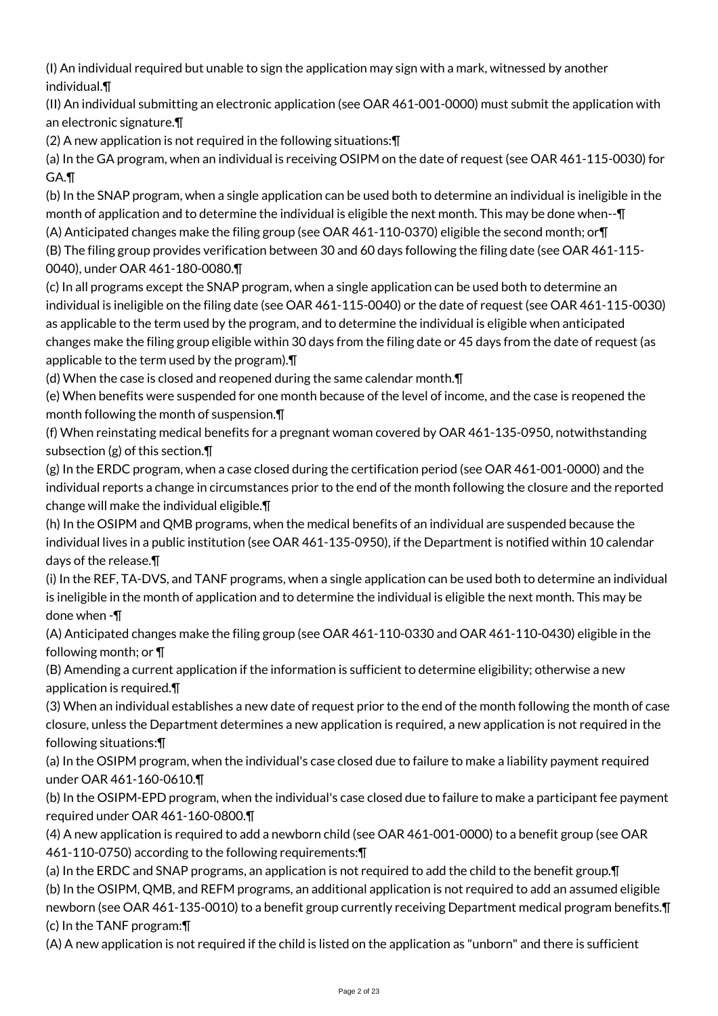(I) An individual required but unable to sign the application may sign with a mark, witnessed by another individual.¶

(II) An individual submitting an electronic application (see OAR 461-001-0000) must submit the application with an electronic signature.¶

(2) A new application is not required in the following situations:¶

(a) In the GA program, when an individual is receiving OSIPM on the date of request (see OAR 461-115-0030) for GA.¶

(b) In the SNAP program, when a single application can be used both to determine an individual is ineligible in the month of application and to determine the individual is eligible the next month. This may be done when--¶ (A) Anticipated changes make the filing group (see OAR 461-110-0370) eligible the second month; or¶

(B) The filing group provides verification between 30 and 60 days following the filing date (see OAR 461-115- 0040), under OAR 461-180-0080.¶

(c) In all programs except the SNAP program, when a single application can be used both to determine an individual is ineligible on the filing date (see OAR 461-115-0040) or the date of request (see OAR 461-115-0030) as applicable to the term used by the program, and to determine the individual is eligible when anticipated changes make the filing group eligible within 30 days from the filing date or 45 days from the date of request (as applicable to the term used by the program).¶

(d) When the case is closed and reopened during the same calendar month.¶

(e) When benefits were suspended for one month because of the level of income, and the case is reopened the month following the month of suspension.¶

(f) When reinstating medical benefits for a pregnant woman covered by OAR 461-135-0950, notwithstanding subsection (g) of this section.¶

(g) In the ERDC program, when a case closed during the certification period (see OAR 461-001-0000) and the individual reports a change in circumstances prior to the end of the month following the closure and the reported change will make the individual eligible.¶

(h) In the OSIPM and QMB programs, when the medical benefits of an individual are suspended because the individual lives in a public institution (see OAR 461-135-0950), if the Department is notified within 10 calendar days of the release.¶

(i) In the REF, TA-DVS, and TANF programs, when a single application can be used both to determine an individual is ineligible in the month of application and to determine the individual is eligible the next month. This may be done when -¶

(A) Anticipated changes make the filing group (see OAR 461-110-0330 and OAR 461-110-0430) eligible in the following month; or ¶

(B) Amending a current application if the information is sufficient to determine eligibility; otherwise a new application is required.¶

(3) When an individual establishes a new date of request prior to the end of the month following the month of case closure, unless the Department determines a new application is required, a new application is not required in the following situations:¶

(a) In the OSIPM program, when the individual's case closed due to failure to make a liability payment required under OAR 461-160-0610.¶

(b) In the OSIPM-EPD program, when the individual's case closed due to failure to make a participant fee payment required under OAR 461-160-0800.¶

(4) A new application is required to add a newborn child (see OAR 461-001-0000) to a benefit group (see OAR 461-110-0750) according to the following requirements:¶

(a) In the ERDC and SNAP programs, an application is not required to add the child to the benefit group.¶ (b) In the OSIPM, QMB, and REFM programs, an additional application is not required to add an assumed eligible newborn (see OAR 461-135-0010) to a benefit group currently receiving Department medical program benefits.¶ (c) In the TANF program:¶

(A) A new application is not required if the child is listed on the application as "unborn" and there is sufficient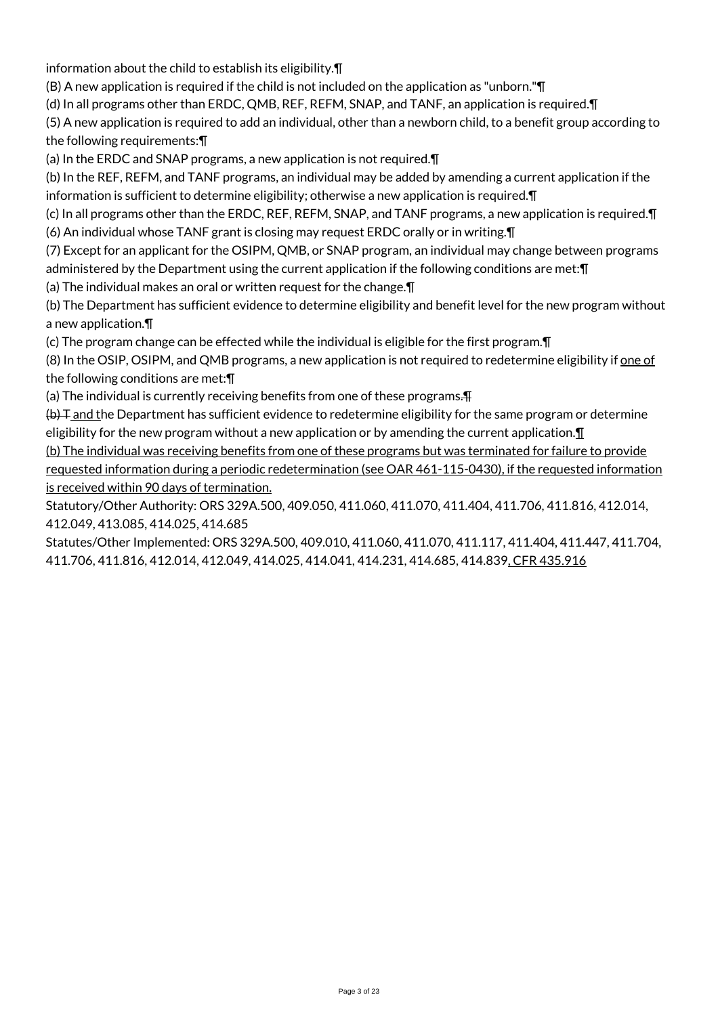information about the child to establish its eligibility.¶

(B) A new application is required if the child is not included on the application as "unborn."¶

(d) In all programs other than ERDC, QMB, REF, REFM, SNAP, and TANF, an application is required.¶

(5) A new application is required to add an individual, other than a newborn child, to a benefit group according to the following requirements:¶

(a) In the ERDC and SNAP programs, a new application is not required.¶

(b) In the REF, REFM, and TANF programs, an individual may be added by amending a current application if the information is sufficient to determine eligibility; otherwise a new application is required.¶

(c) In all programs other than the ERDC, REF, REFM, SNAP, and TANF programs, a new application is required.¶ (6) An individual whose TANF grant is closing may request ERDC orally or in writing.¶

(7) Except for an applicant for the OSIPM, QMB, or SNAP program, an individual may change between programs administered by the Department using the current application if the following conditions are met:¶

(a) The individual makes an oral or written request for the change.¶

(b) The Department has sufficient evidence to determine eligibility and benefit level for the new program without a new application.¶

(c) The program change can be effected while the individual is eligible for the first program.¶

(8) In the OSIP, OSIPM, and QMB programs, a new application is not required to redetermine eligibility if one of the following conditions are met:¶

(a) The individual is currently receiving benefits from one of these programs.

(b) T and the Department has sufficient evidence to redetermine eligibility for the same program or determine eligibility for the new program without a new application or by amending the current application. $\P$ 

(b) The individual was receiving benefits from one of these programs but was terminated for failure to provide requested information during a periodic redetermination (see OAR 461-115-0430), if the requested information is received within 90 days of termination.

Statutory/Other Authority: ORS 329A.500, 409.050, 411.060, 411.070, 411.404, 411.706, 411.816, 412.014, 412.049, 413.085, 414.025, 414.685

Statutes/Other Implemented: ORS 329A.500, 409.010, 411.060, 411.070, 411.117, 411.404, 411.447, 411.704, 411.706, 411.816, 412.014, 412.049, 414.025, 414.041, 414.231, 414.685, 414.839, CFR 435.916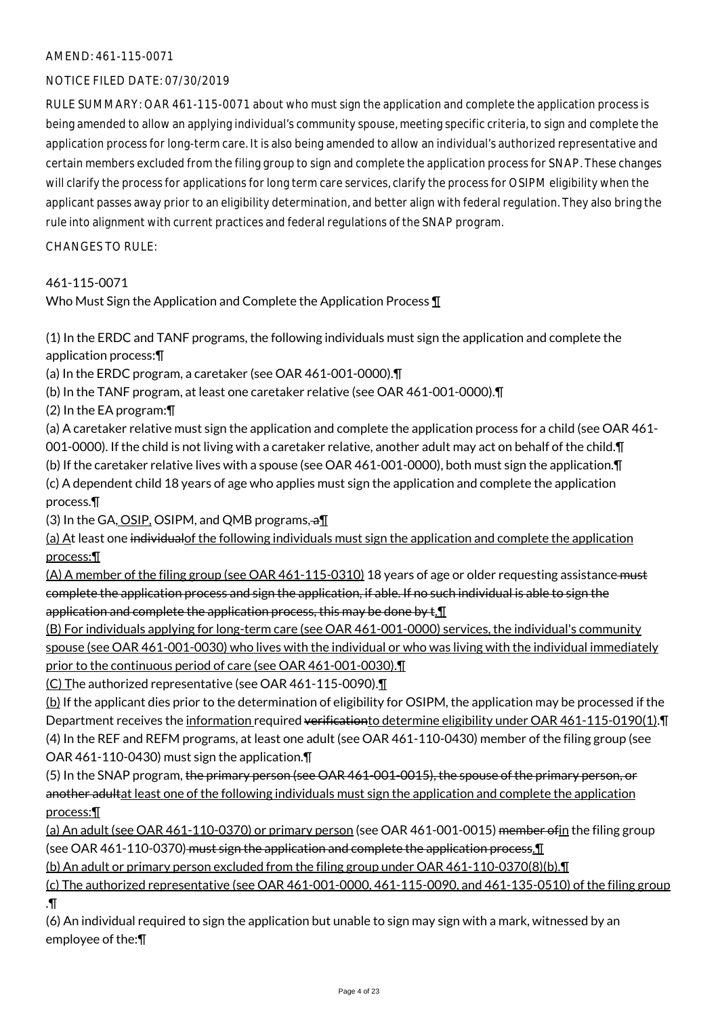#### AMEND: 461-115-0071

#### NOTICE FILED DATE: 07/30/2019

RULE SUMMARY: OAR 461-115-0071 about who must sign the application and complete the application process is being amended to allow an applying individual's community spouse, meeting specific criteria, to sign and complete the application process for long-term care. It is also being amended to allow an individual's authorized representative and certain members excluded from the filing group to sign and complete the application process for SNAP. These changes will clarify the process for applications for long term care services, clarify the process for OSIPM eligibility when the applicant passes away prior to an eligibility determination, and better align with federal regulation. They also bring the rule into alignment with current practices and federal regulations of the SNAP program.

CHANGES TO RULE:

#### 461-115-0071

Who Must Sign the Application and Complete the Application Process ¶

(1) In the ERDC and TANF programs, the following individuals must sign the application and complete the application process:¶

(a) In the ERDC program, a caretaker (see OAR 461-001-0000).¶

(b) In the TANF program, at least one caretaker relative (see OAR 461-001-0000).¶

(2) In the EA program:¶

(a) A caretaker relative must sign the application and complete the application process for a child (see OAR 461- 001-0000). If the child is not living with a caretaker relative, another adult may act on behalf of the child.¶ (b) If the caretaker relative lives with a spouse (see OAR 461-001-0000), both must sign the application.¶

(c) A dependent child 18 years of age who applies must sign the application and complete the application process.¶

(3) In the GA, OSIP, OSIPM, and QMB programs,  $\partial \prod$ 

(a) At least one individualof the following individuals must sign the application and complete the application process:¶

(A) A member of the filing group (see OAR 461-115-0310) 18 years of age or older requesting assistance must complete the application process and sign the application, if able. If no such individual is able to sign the application and complete the application process, this may be done by  $t.\mathbb{I}$ 

(B) For individuals applying for long-term care (see OAR 461-001-0000) services, the individual's community spouse (see OAR 461-001-0030) who lives with the individual or who was living with the individual immediately prior to the continuous period of care (see OAR 461-001-0030).

(C) The authorized representative (see OAR 461-115-0090).¶

(b) If the applicant dies prior to the determination of eligibility for OSIPM, the application may be processed if the Department receives the information required verification to determine eligibility under OAR 461-115-0190(1). T (4) In the REF and REFM programs, at least one adult (see OAR 461-110-0430) member of the filing group (see OAR 461-110-0430) must sign the application.¶

(5) In the SNAP program, the primary person (see OAR 461-001-0015), the spouse of the primary person, or another adultat least one of the following individuals must sign the application and complete the application process:¶

(a) An adult (see OAR 461-110-0370) or primary person (see OAR 461-001-0015) member of in the filing group (see OAR 461-110-0370) must sign the application and complete the application process.¶

(b) An adult or primary person excluded from the filing group under OAR 461-110-0370(8)(b).¶

(c) The authorized representative (see OAR 461-001-0000, 461-115-0090, and 461-135-0510) of the filing group .¶

(6) An individual required to sign the application but unable to sign may sign with a mark, witnessed by an employee of the:¶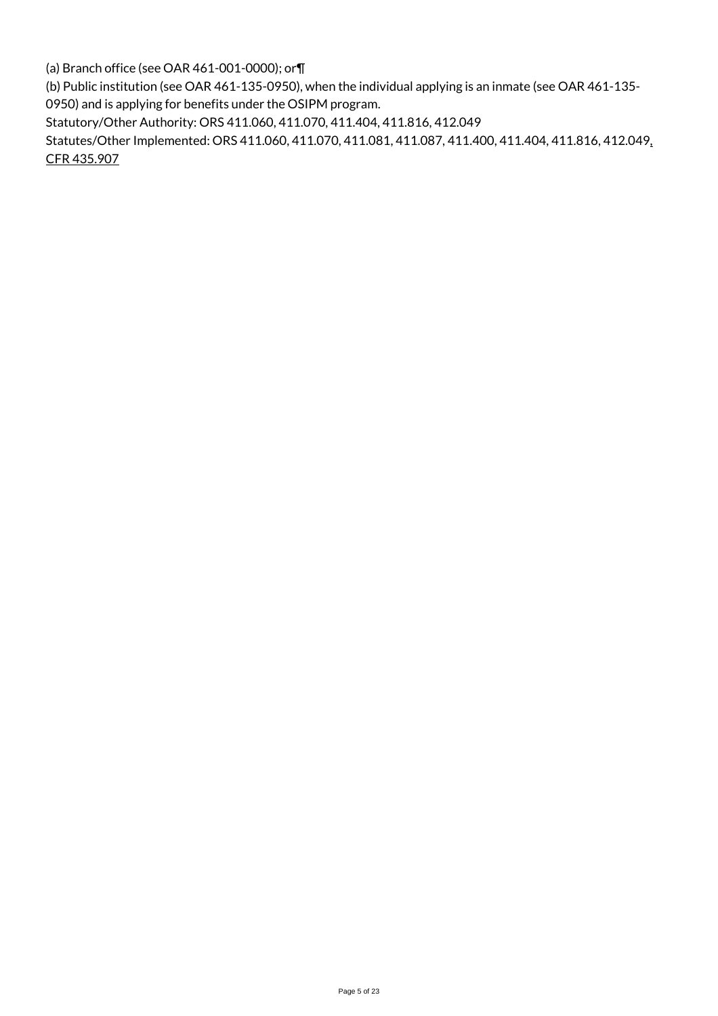(a) Branch office (see OAR 461-001-0000); or¶

(b) Public institution (see OAR 461-135-0950), when the individual applying is an inmate (see OAR 461-135- 0950) and is applying for benefits under the OSIPM program.

Statutory/Other Authority: ORS 411.060, 411.070, 411.404, 411.816, 412.049

Statutes/Other Implemented: ORS 411.060, 411.070, 411.081, 411.087, 411.400, 411.404, 411.816, 412.049, CFR 435.907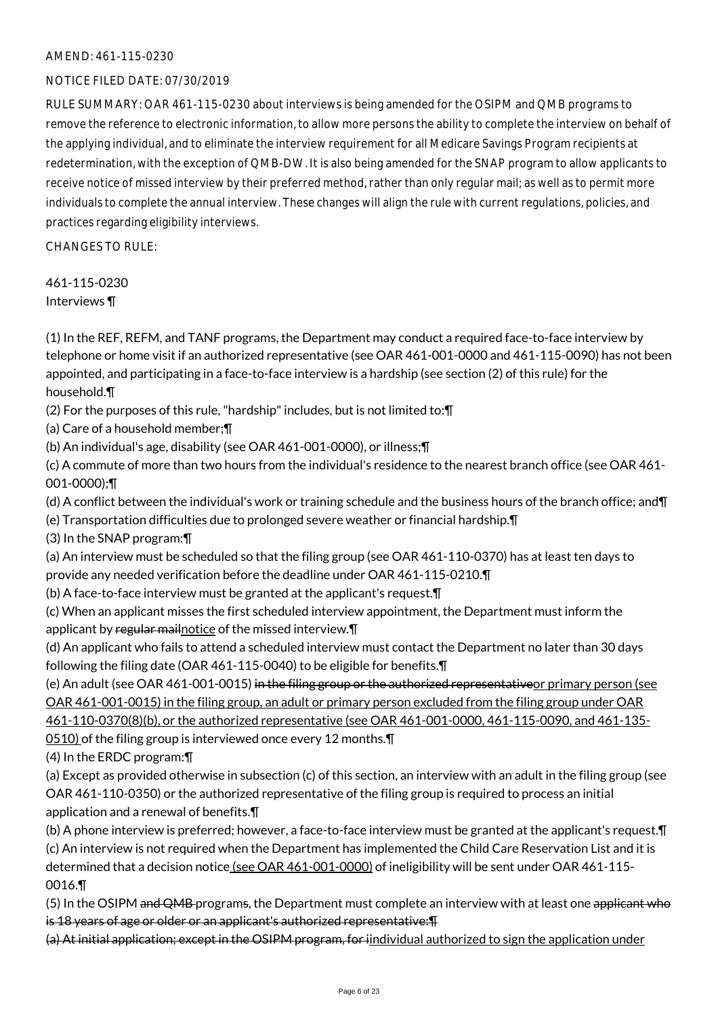#### AMEND: 461-115-0230

#### NOTICE FILED DATE: 07/30/2019

RULE SUMMARY: OAR 461-115-0230 about interviews is being amended for the OSIPM and QMB programs to remove the reference to electronic information, to allow more persons the ability to complete the interview on behalf of the applying individual, and to eliminate the interview requirement for all Medicare Savings Program recipients at redetermination, with the exception of QMB-DW. It is also being amended for the SNAP program to allow applicants to receive notice of missed interview by their preferred method, rather than only regular mail; as well as to permit more individuals to complete the annual interview. These changes will align the rule with current regulations, policies, and practices regarding eligibility interviews.

CHANGES TO RULE:

461-115-0230 Interviews ¶

(1) In the REF, REFM, and TANF programs, the Department may conduct a required face-to-face interview by telephone or home visit if an authorized representative (see OAR 461-001-0000 and 461-115-0090) has not been appointed, and participating in a face-to-face interview is a hardship (see section (2) of this rule) for the household.¶

- (2) For the purposes of this rule, "hardship" includes, but is not limited to:¶
- (a) Care of a household member;¶
- (b) An individual's age, disability (see OAR 461-001-0000), or illness;¶

(c) A commute of more than two hours from the individual's residence to the nearest branch office (see OAR 461- 001-0000);¶

(d) A conflict between the individual's work or training schedule and the business hours of the branch office; and¶

- (e) Transportation difficulties due to prolonged severe weather or financial hardship.¶
- (3) In the SNAP program:¶

(a) An interview must be scheduled so that the filing group (see OAR 461-110-0370) has at least ten days to provide any needed verification before the deadline under OAR 461-115-0210.¶

(b) A face-to-face interview must be granted at the applicant's request.¶

(c) When an applicant misses the first scheduled interview appointment, the Department must inform the applicant by regular mail notice of the missed interview.

(d) An applicant who fails to attend a scheduled interview must contact the Department no later than 30 days following the filing date (OAR 461-115-0040) to be eligible for benefits.¶

(e) An adult (see OAR 461-001-0015) in the filing group or the authorized representativeor primary person (see OAR 461-001-0015) in the filing group, an adult or primary person excluded from the filing group under OAR 461-110-0370(8)(b), or the authorized representative (see OAR 461-001-0000, 461-115-0090, and 461-135-

0510) of the filing group is interviewed once every 12 months.¶

(4) In the ERDC program:¶

(a) Except as provided otherwise in subsection (c) of this section, an interview with an adult in the filing group (see OAR 461-110-0350) or the authorized representative of the filing group is required to process an initial application and a renewal of benefits.¶

(b) A phone interview is preferred; however, a face-to-face interview must be granted at the applicant's request.¶ (c) An interview is not required when the Department has implemented the Child Care Reservation List and it is determined that a decision notice (see OAR 461-001-0000) of ineligibility will be sent under OAR 461-115-0016.¶

(5) In the OSIPM and QMB programs, the Department must complete an interview with at least one applicant who is 18 years of age or older or an applicant's authorized representative:¶

(a) At initial application; except in the OSIPM program, for iindividual authorized to sign the application under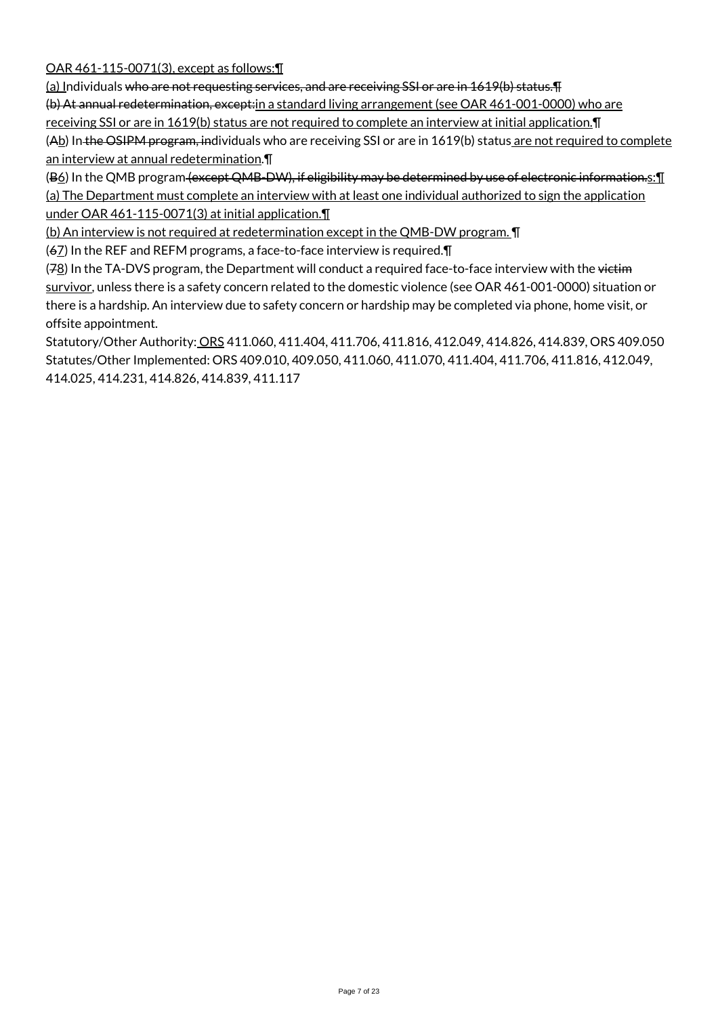OAR 461-115-0071(3), except as follows:¶

(a) Individuals who are not requesting services, and are receiving SSI or are in 1619(b) status.¶ (b) At annual redetermination, except:in a standard living arrangement (see OAR 461-001-0000) who are receiving SSI or are in 1619(b) status are not required to complete an interview at initial application.¶ (Ab) In the OSIPM program, individuals who are receiving SSI or are in 1619(b) status are not required to complete an interview at annual redetermination.¶

(B<sup>6</sup>) In the QMB program (except QMB-DW), if eligibility may be determined by use of electronic information.s: [[ (a) The Department must complete an interview with at least one individual authorized to sign the application under OAR 461-115-0071(3) at initial application.¶

(b) An interview is not required at redetermination except in the QMB-DW program. ¶

(67) In the REF and REFM programs, a face-to-face interview is required.¶

(78) In the TA-DVS program, the Department will conduct a required face-to-face interview with the victim survivor, unless there is a safety concern related to the domestic violence (see OAR 461-001-0000) situation or there is a hardship. An interview due to safety concern or hardship may be completed via phone, home visit, or offsite appointment.

Statutory/Other Authority: ORS 411.060, 411.404, 411.706, 411.816, 412.049, 414.826, 414.839, ORS 409.050 Statutes/Other Implemented: ORS 409.010, 409.050, 411.060, 411.070, 411.404, 411.706, 411.816, 412.049, 414.025, 414.231, 414.826, 414.839, 411.117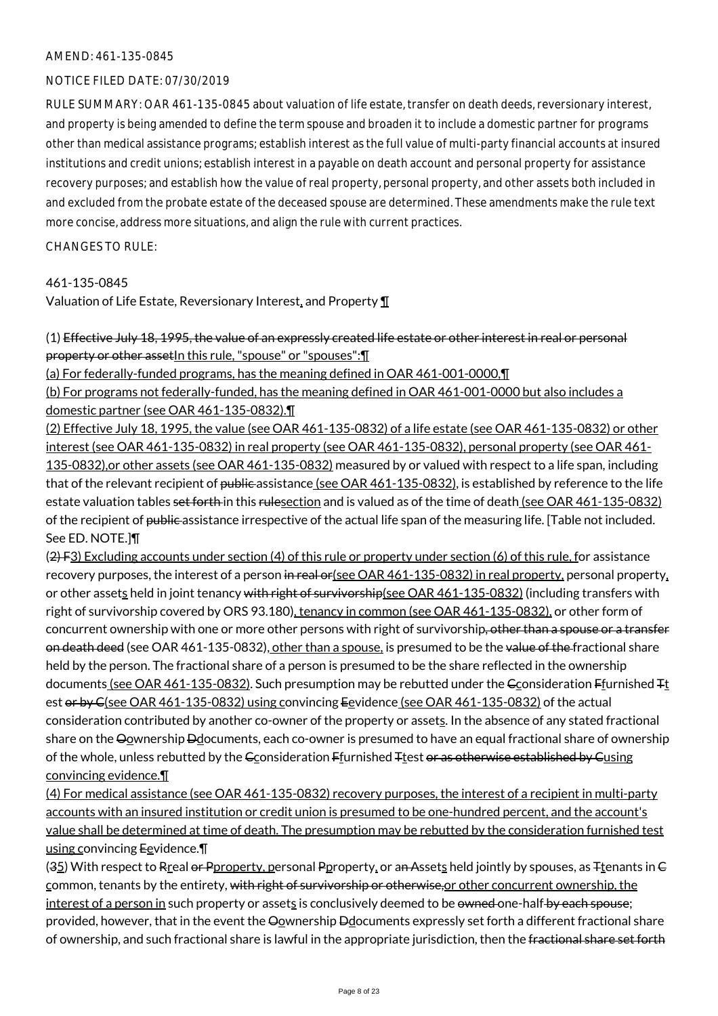#### AMEND: 461-135-0845

#### NOTICE FILED DATE: 07/30/2019

RULE SUMMARY: OAR 461-135-0845 about valuation of life estate, transfer on death deeds, reversionary interest, and property is being amended to define the term spouse and broaden it to include a domestic partner for programs other than medical assistance programs; establish interest as the full value of multi-party financial accounts at insured institutions and credit unions; establish interest in a payable on death account and personal property for assistance recovery purposes; and establish how the value of real property, personal property, and other assets both included in and excluded from the probate estate of the deceased spouse are determined. These amendments make the rule text more concise, address more situations, and align the rule with current practices.

CHANGES TO RULE:

#### 461-135-0845

Valuation of Life Estate, Reversionary Interest, and Property ¶

(1) Effective July 18, 1995, the value of an expressly created life estate or other interest in real or personal property or other asset In this rule, "spouse" or "spouses": [1]

(a) For federally-funded programs, has the meaning defined in OAR 461-001-0000,¶

(b) For programs not federally-funded, has the meaning defined in OAR 461-001-0000 but also includes a domestic partner (see OAR 461-135-0832).¶

(2) Effective July 18, 1995, the value (see OAR 461-135-0832) of a life estate (see OAR 461-135-0832) or other interest (see OAR 461-135-0832) in real property (see OAR 461-135-0832), personal property (see OAR 461- 135-0832),or other assets (see OAR 461-135-0832) measured by or valued with respect to a life span, including that of the relevant recipient of public assistance (see OAR 461-135-0832), is established by reference to the life estate valuation tables set forth in this rulesection and is valued as of the time of death (see OAR 461-135-0832) of the recipient of public assistance irrespective of the actual life span of the measuring life. [Table not included. See ED. NOTE.]¶

 $(2)$  F3) Excluding accounts under section (4) of this rule or property under section (6) of this rule, for assistance recovery purposes, the interest of a person in real or (see OAR 461-135-0832) in real property, personal property, or other assets held in joint tenancy with right of survivorship(see OAR 461-135-0832) (including transfers with right of survivorship covered by ORS 93.180), tenancy in common (see OAR 461-135-0832), or other form of concurrent ownership with one or more other persons with right of survivorship, other than a spouse or a transfer on death deed (see OAR 461-135-0832), other than a spouse, is presumed to be the value of the fractional share held by the person. The fractional share of a person is presumed to be the share reflected in the ownership documents (see OAR 461-135-0832). Such presumption may be rebutted under the Gconsideration Ffurnished <sub>Tt</sub> est or by C(see OAR 461-135-0832) using convincing Eevidence (see OAR 461-135-0832) of the actual consideration contributed by another co-owner of the property or assets. In the absence of any stated fractional share on the Oownership Ddocuments, each co-owner is presumed to have an equal fractional share of ownership of the whole, unless rebutted by the Gconsideration Ffurnished Ttest or as otherwise established by Gusing convincing evidence.¶

(4) For medical assistance (see OAR 461-135-0832) recovery purposes, the interest of a recipient in multi-party accounts with an insured institution or credit union is presumed to be one-hundred percent, and the account's value shall be determined at time of death. The presumption may be rebutted by the consideration furnished test using convincing Eevidence.

(35) With respect to Rreal or Pproperty, personal Pproperty, or an Assets held jointly by spouses, as  $F_t$ enants in  $\Theta$ common, tenants by the entirety, with right of survivorship or otherwise, or other concurrent ownership, the interest of a person in such property or assets is conclusively deemed to be owned one-half by each spouse; provided, however, that in the event the Oownership Ddocuments expressly set forth a different fractional share of ownership, and such fractional share is lawful in the appropriate jurisdiction, then the fractional share set forth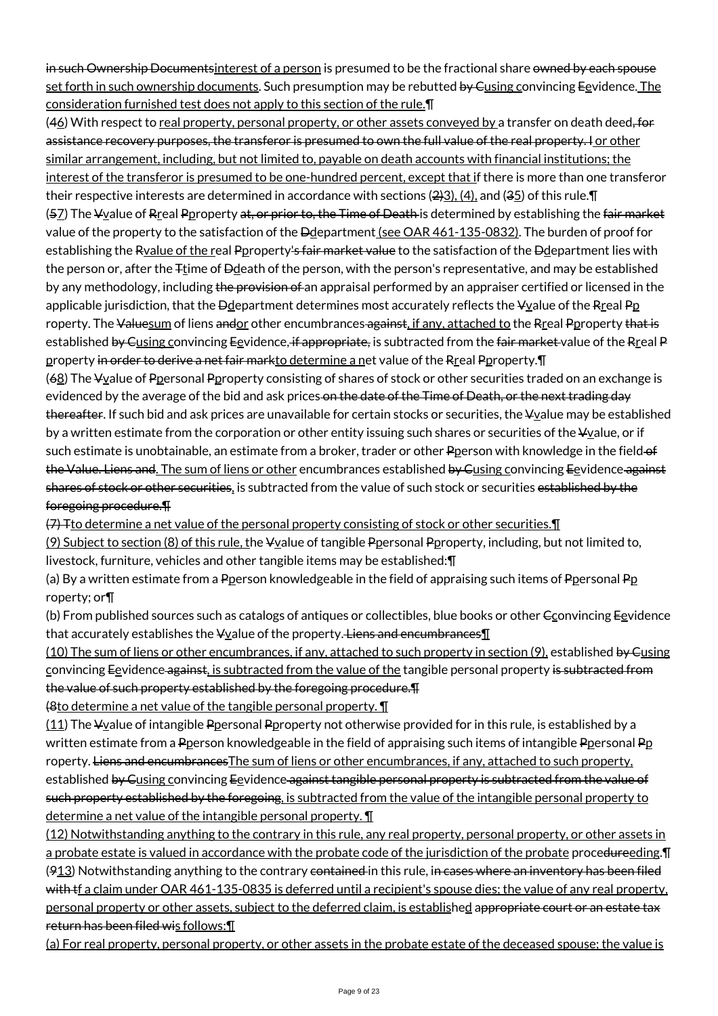in such Ownership Documents interest of a person is presumed to be the fractional share owned by each spouse set forth in such ownership documents. Such presumption may be rebutted by Gusing convincing Eevidence. The consideration furnished test does not apply to this section of the rule.¶

(46) With respect to real property, personal property, or other assets conveyed by a transfer on death deed, for assistance recovery purposes, the transferor is presumed to own the full value of the real property. I or other similar arrangement, including, but not limited to, payable on death accounts with financial institutions; the interest of the transferor is presumed to be one-hundred percent, except that if there is more than one transferor their respective interests are determined in accordance with sections  $(2)3)$ ,  $(4)$ , and  $(35)$  of this rule. [1]  $(57)$  The  $\frac{1}{2}$  The  $\frac{1}{2}$  and  $\frac{1}{2}$  Perry perty at, or prior to, the Time of Death is determined by establishing the fair market value of the property to the satisfaction of the Ddepartment (see OAR 461-135-0832). The burden of proof for establishing the Ryalue of the real Pproperty's fair market value to the satisfaction of the Ddepartment lies with the person or, after the  $F$ time of  $D$ death of the person, with the person's representative, and may be established by any methodology, including the provision of an appraisal performed by an appraiser certified or licensed in the applicable jurisdiction, that the  $\Theta$ department determines most accurately reflects the  $\Psi$ value of the Rreal Pp roperty. The Valuesum of liens andor other encumbrances against, if any, attached to the Rreal Pproperty that is established by Gusing convincing Eevidence, if appropriate, is subtracted from the fair market value of the Rreal P property in order to derive a net fair markto determine a net value of the Rreal Pproperty. T

(68) The Vvalue of Ppersonal Pproperty consisting of shares of stock or other securities traded on an exchange is evidenced by the average of the bid and ask prices on the date of the Time of Death, or the next trading day thereafter. If such bid and ask prices are unavailable for certain stocks or securities, the ¥value may be established by a written estimate from the corporation or other entity issuing such shares or securities of the  $V_2$ alue, or if such estimate is unobtainable, an estimate from a broker, trader or other Pperson with knowledge in the field-of the Value. Liens and. The sum of liens or other encumbrances established by Gusing convincing Eevidence against shares of stock or other securities, is subtracted from the value of such stock or securities established by the foregoing procedure.¶

 $(7)$  Tto determine a net value of the personal property consisting of stock or other securities.  $\P$ 

(9) Subject to section (8) of this rule, the Vyalue of tangible Ppersonal Pproperty, including, but not limited to, livestock, furniture, vehicles and other tangible items may be established:¶

(a) By a written estimate from a Pperson knowledgeable in the field of appraising such items of Ppersonal Pp roperty; or¶

(b) From published sources such as catalogs of antiques or collectibles, blue books or other  $\epsilon$  convincing Eevidence that accurately establishes the  $\frac{1}{2}$  value of the property. Liens and encumbrances  $\text{I}$ 

(10) The sum of liens or other encumbrances, if any, attached to such property in section (9), established by Gusing convincing Eevidence against, is subtracted from the value of the tangible personal property is subtracted from the value of such property established by the foregoing procedure.¶

(8to determine a net value of the tangible personal property. ¶

 $(11)$  The  $\frac{1}{2}$  Vyalue of intangible Ppersonal Pproperty not otherwise provided for in this rule, is established by a written estimate from a Pperson knowledgeable in the field of appraising such items of intangible Ppersonal Pp roperty. Liens and encumbrancesThe sum of liens or other encumbrances, if any, attached to such property, established by Cusing convincing Eevidence against tangible personal property is subtracted from the value of such property established by the foregoing, is subtracted from the value of the intangible personal property to determine a net value of the intangible personal property. ¶

(12) Notwithstanding anything to the contrary in this rule, any real property, personal property, or other assets in a probate estate is valued in accordance with the probate code of the jurisdiction of the probate procedureeding.¶ (913) Notwithstanding anything to the contrary contained in this rule, in cases where an inventory has been filed with the a claim under OAR 461-135-0835 is deferred until a recipient's spouse dies; the value of any real property, personal property or other assets, subject to the deferred claim, is established appropriate court or an estate tax return has been filed wis follows:¶

(a) For real property, personal property, or other assets in the probate estate of the deceased spouse; the value is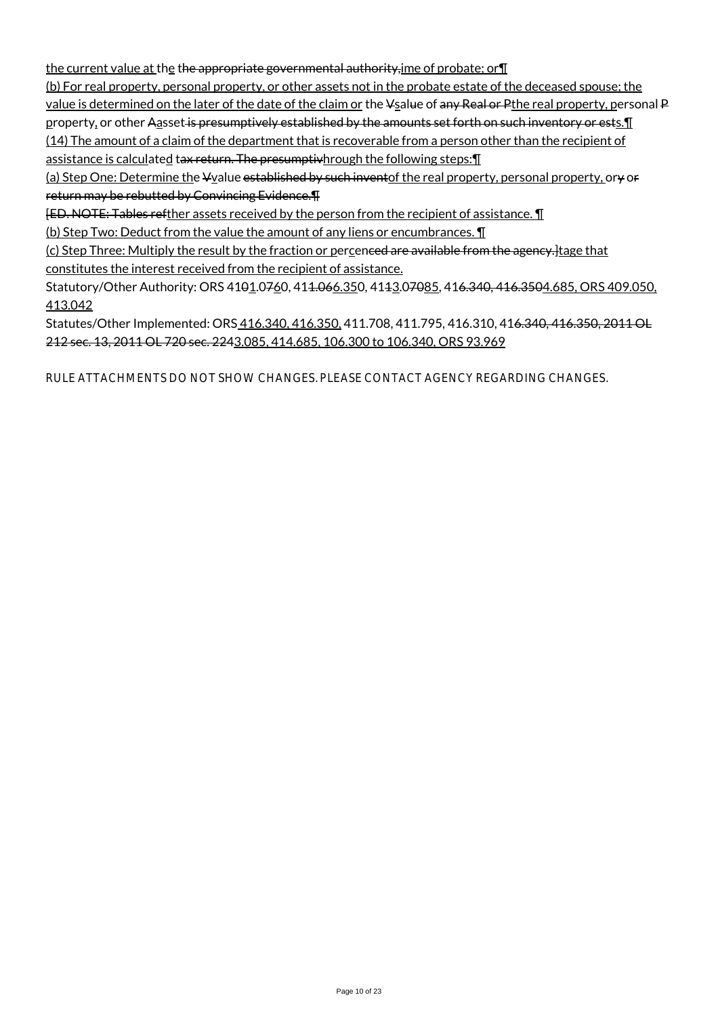the current value at the the appropriate governmental authority,ime of probate; or¶

(b) For real property, personal property, or other assets not in the probate estate of the deceased spouse; the value is determined on the later of the date of the claim or the Vsalue of any Real or Pthe real property, personal P property, or other Aasset is presumptively established by the amounts set forth on such inventory or ests. In (14) The amount of a claim of the department that is recoverable from a person other than the recipient of assistance is calculated tax return. The presumptivhrough the following steps: [1]

(a) Step One: Determine the Yvalue established by such inventof the real property, personal property, ory or return may be rebutted by Convincing Evidence.¶

[ED. NOTE: Tables refther assets received by the person from the recipient of assistance. ¶

(b) Step Two: Deduct from the value the amount of any liens or encumbrances. ¶

(c) Step Three: Multiply the result by the fraction or percenced are available from the agency. Itage that constitutes the interest received from the recipient of assistance.

Statutory/Other Authority: ORS 4101.0760, 411.066.350, 4113.07085, 416.340, 416.3504.685, ORS 409.050, 413.042

Statutes/Other Implemented: ORS 416.340, 416.350, 411.708, 411.795, 416.310, 416.340, 416.350, 2011 OL 212 sec. 13, 2011 OL 720 sec. 2243.085, 414.685, 106.300 to 106.340, ORS 93.969

RULE ATTACHMENTS DO NOT SHOW CHANGES. PLEASE CONTACT AGENCY REGARDING CHANGES.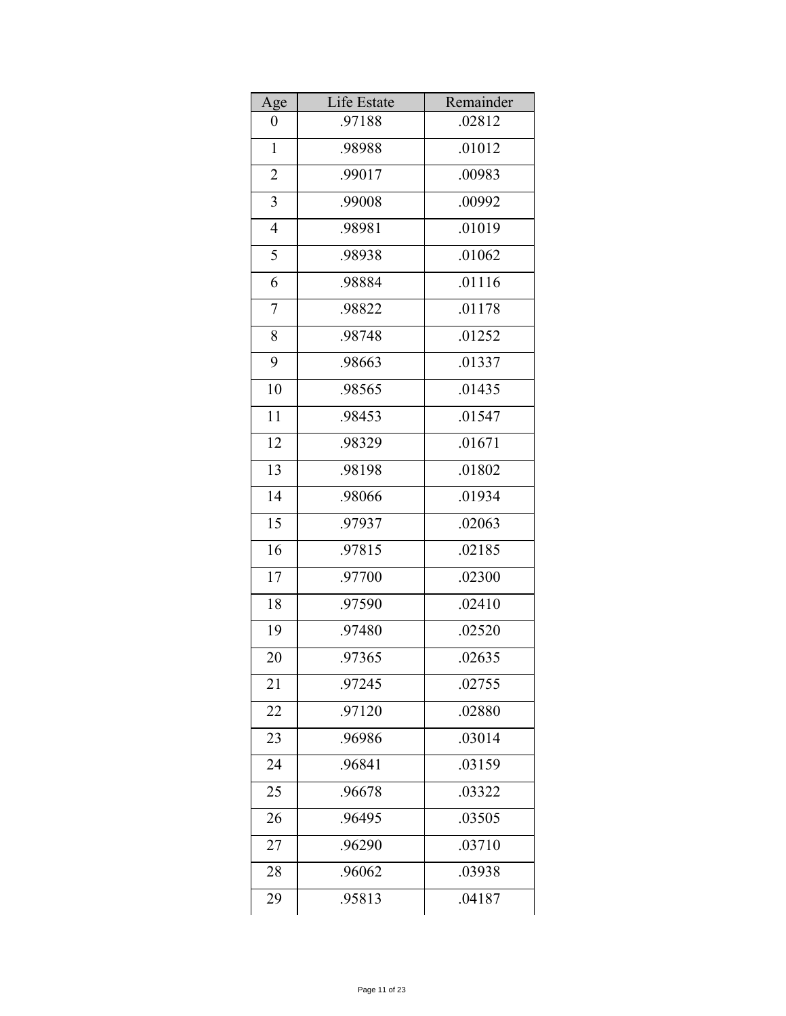| Age              | Life Estate | Remainder |
|------------------|-------------|-----------|
| $\boldsymbol{0}$ | .97188      | .02812    |
| $\mathbf{1}$     | .98988      | .01012    |
| 2                | .99017      | .00983    |
| 3                | .99008      | .00992    |
| $\overline{4}$   | .98981      | .01019    |
| 5                | .98938      | .01062    |
| 6                | .98884      | .01116    |
| 7                | .98822      | .01178    |
| 8                | .98748      | .01252    |
| 9                | .98663      | .01337    |
| 10               | .98565      | .01435    |
| 11               | .98453      | .01547    |
| 12               | .98329      | .01671    |
| 13               | .98198      | .01802    |
| 14               | .98066      | .01934    |
| 15               | .97937      | .02063    |
| 16               | .97815      | .02185    |
| 17               | .97700      | .02300    |
| 18               | .97590      | .02410    |
| 19               | .97480      | .02520    |
| 20               | .97365      | .02635    |
| 21               | .97245      | .02755    |
| 22               | .97120      | .02880    |
| 23               | .96986      | .03014    |
| 24               | .96841      | .03159    |
| 25               | .96678      | .03322    |
| 26               | .96495      | .03505    |
| 27               | .96290      | .03710    |
| 28               | .96062      | .03938    |
| 29               | .95813      | .04187    |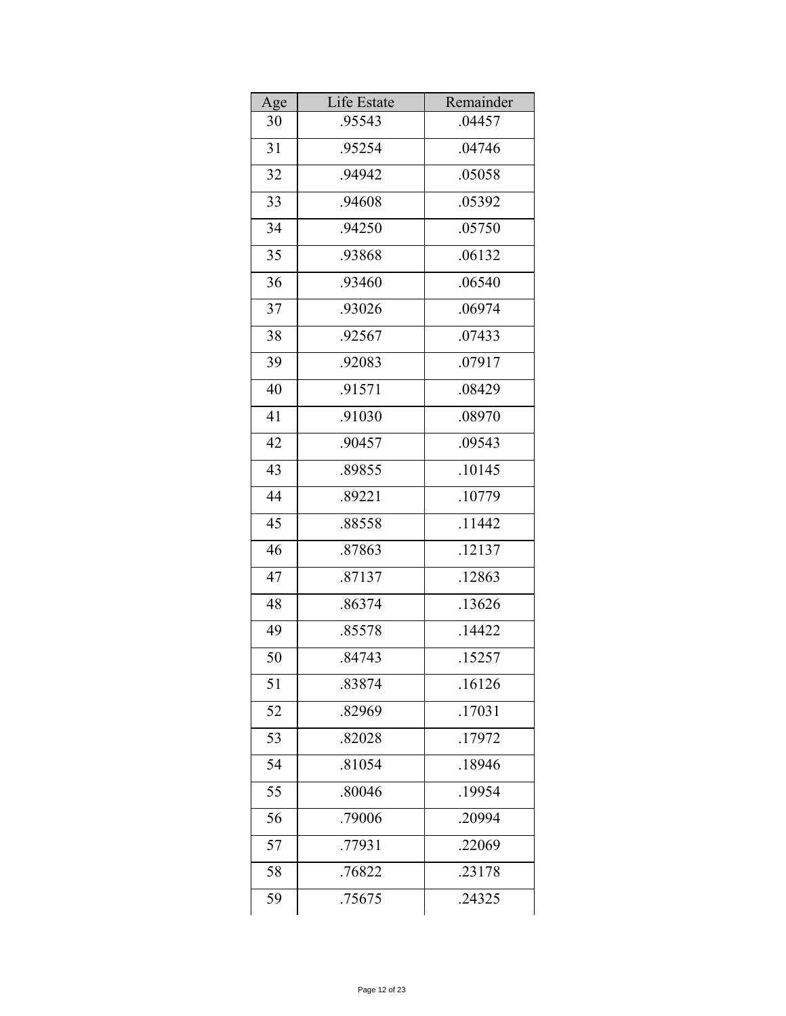| Age | Life Estate | Remainder |
|-----|-------------|-----------|
| 30  | .95543      | .04457    |
| 31  | .95254      | .04746    |
| 32  | .94942      | .05058    |
| 33  | .94608      | .05392    |
| 34  | .94250      | .05750    |
| 35  | .93868      | .06132    |
| 36  | .93460      | .06540    |
| 37  | .93026      | .06974    |
| 38  | .92567      | .07433    |
| 39  | .92083      | .07917    |
| 40  | .91571      | .08429    |
| 41  | .91030      | .08970    |
| 42  | .90457      | .09543    |
| 43  | .89855      | .10145    |
| 44  | .89221      | .10779    |
| 45  | .88558      | .11442    |
| 46  | .87863      | .12137    |
| 47  | .87137      | .12863    |
| 48  | .86374      | .13626    |
| 49  | .85578      | .14422    |
| 50  | .84743      | .15257    |
| 51  | .83874      | .16126    |
| 52  | .82969      | .17031    |
| 53  | .82028      | .17972    |
| 54  | .81054      | .18946    |
| 55  | .80046      | .19954    |
| 56  | .79006      | .20994    |
| 57  | .77931      | .22069    |
| 58  | .76822      | .23178    |
| 59  | .75675      | .24325    |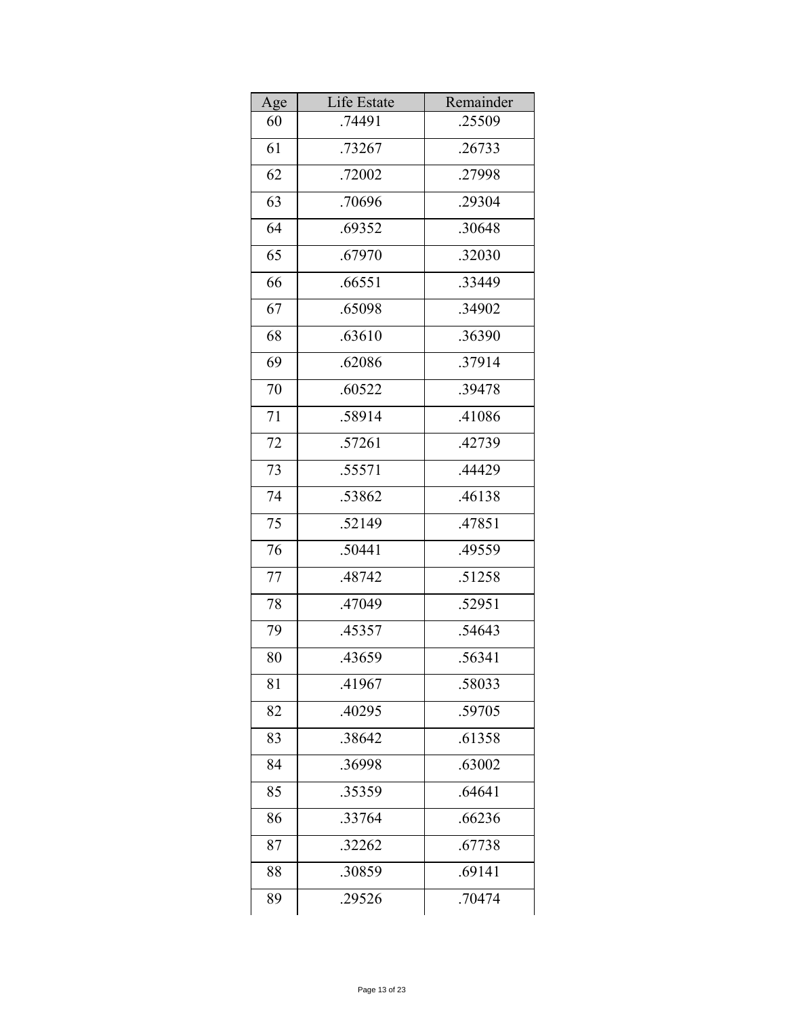| Age | Life Estate | Remainder |
|-----|-------------|-----------|
| 60  | .74491      | .25509    |
| 61  | .73267      | .26733    |
| 62  | .72002      | .27998    |
| 63  | .70696      | .29304    |
| 64  | .69352      | .30648    |
| 65  | .67970      | .32030    |
| 66  | .66551      | .33449    |
| 67  | .65098      | .34902    |
| 68  | .63610      | .36390    |
| 69  | .62086      | .37914    |
| 70  | .60522      | .39478    |
| 71  | .58914      | .41086    |
| 72  | .57261      | .42739    |
| 73  | .55571      | .44429    |
| 74  | .53862      | .46138    |
| 75  | .52149      | .47851    |
| 76  | .50441      | .49559    |
| 77  | .48742      | .51258    |
| 78  | .47049      | .52951    |
| 79  | .45357      | .54643    |
| 80  | .43659      | .56341    |
| 81  | .41967      | .58033    |
| 82  | .40295      | .59705    |
| 83  | .38642      | .61358    |
| 84  | .36998      | .63002    |
| 85  | .35359      | .64641    |
| 86  | .33764      | .66236    |
| 87  | .32262      | .67738    |
| 88  | .30859      | .69141    |
| 89  | .29526      | .70474    |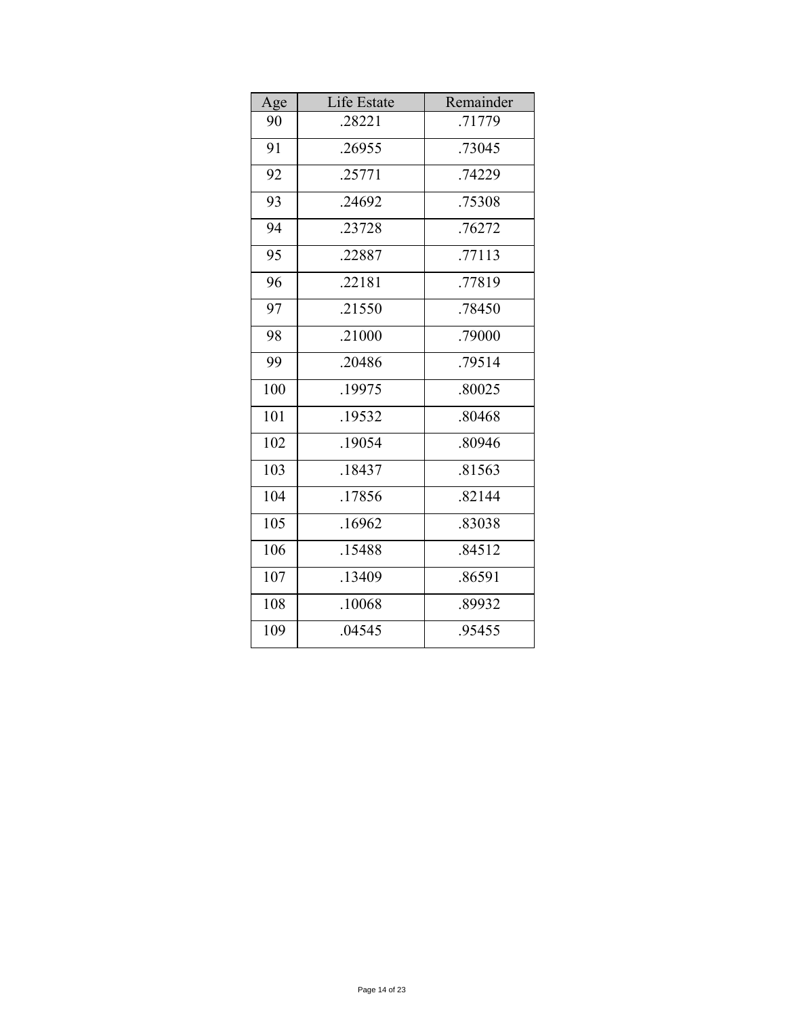| Age | Life Estate | Remainder |
|-----|-------------|-----------|
| 90  | .28221      | .71779    |
| 91  | .26955      | .73045    |
| 92  | .25771      | .74229    |
| 93  | .24692      | .75308    |
| 94  | .23728      | .76272    |
| 95  | .22887      | .77113    |
| 96  | .22181      | .77819    |
| 97  | .21550      | .78450    |
| 98  | .21000      | .79000    |
| 99  | .20486      | .79514    |
| 100 | .19975      | .80025    |
| 101 | .19532      | .80468    |
| 102 | .19054      | .80946    |
| 103 | .18437      | .81563    |
| 104 | .17856      | .82144    |
| 105 | .16962      | .83038    |
| 106 | .15488      | .84512    |
| 107 | .13409      | .86591    |
| 108 | .10068      | .89932    |
| 109 | .04545      | .95455    |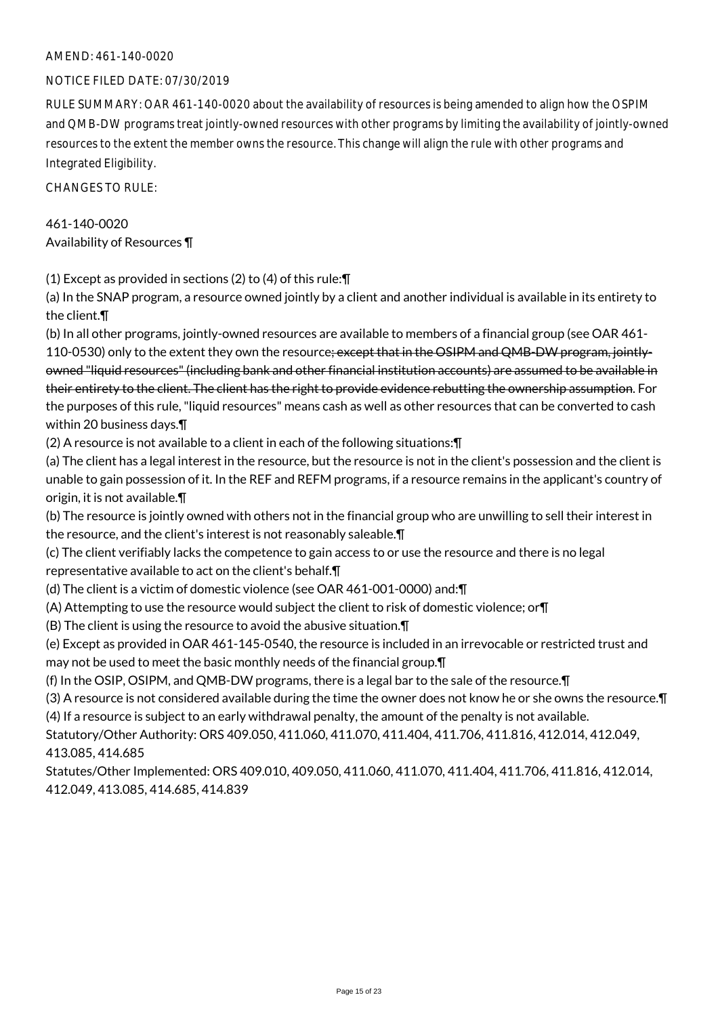#### AMEND: 461-140-0020

#### NOTICE FILED DATE: 07/30/2019

RULE SUMMARY: OAR 461-140-0020 about the availability of resources is being amended to align how the OSPIM and QMB-DW programs treat jointly-owned resources with other programs by limiting the availability of jointly-owned resources to the extent the member owns the resource. This change will align the rule with other programs and Integrated Eligibility.

CHANGES TO RULE:

461-140-0020 Availability of Resources ¶

(1) Except as provided in sections (2) to (4) of this rule:¶

(a) In the SNAP program, a resource owned jointly by a client and another individual is available in its entirety to the client.¶

(b) In all other programs, jointly-owned resources are available to members of a financial group (see OAR 461-

110-0530) only to the extent they own the resource; except that in the OSIPM and QMB-DW program, jointlyowned "liquid resources" (including bank and other financial institution accounts) are assumed to be available in their entirety to the client. The client has the right to provide evidence rebutting the ownership assumption. For the purposes of this rule, "liquid resources" means cash as well as other resources that can be converted to cash within 20 business days.¶

(2) A resource is not available to a client in each of the following situations:¶

(a) The client has a legal interest in the resource, but the resource is not in the client's possession and the client is unable to gain possession of it. In the REF and REFM programs, if a resource remains in the applicant's country of origin, it is not available.¶

(b) The resource is jointly owned with others not in the financial group who are unwilling to sell their interest in the resource, and the client's interest is not reasonably saleable.¶

(c) The client verifiably lacks the competence to gain access to or use the resource and there is no legal representative available to act on the client's behalf.¶

(d) The client is a victim of domestic violence (see OAR 461-001-0000) and:¶

(A) Attempting to use the resource would subject the client to risk of domestic violence; or¶

(B) The client is using the resource to avoid the abusive situation.¶

(e) Except as provided in OAR 461-145-0540, the resource is included in an irrevocable or restricted trust and may not be used to meet the basic monthly needs of the financial group.¶

(f) In the OSIP, OSIPM, and QMB-DW programs, there is a legal bar to the sale of the resource.¶

(3) A resource is not considered available during the time the owner does not know he or she owns the resource.¶ (4) If a resource is subject to an early withdrawal penalty, the amount of the penalty is not available.

Statutory/Other Authority: ORS 409.050, 411.060, 411.070, 411.404, 411.706, 411.816, 412.014, 412.049, 413.085, 414.685

Statutes/Other Implemented: ORS 409.010, 409.050, 411.060, 411.070, 411.404, 411.706, 411.816, 412.014, 412.049, 413.085, 414.685, 414.839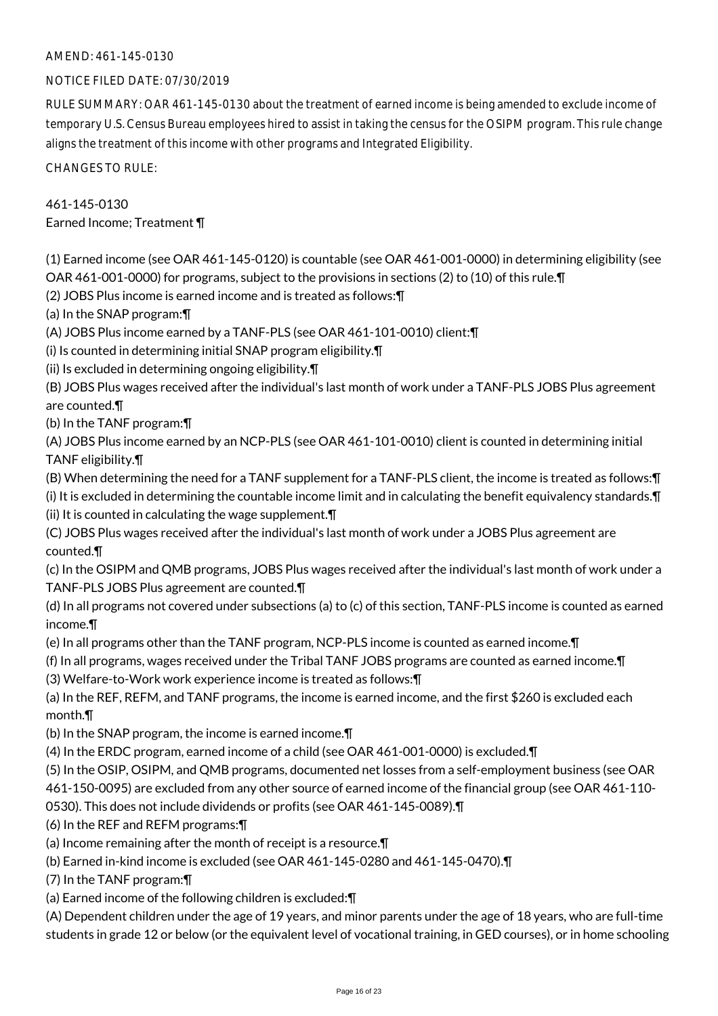#### AMEND: 461-145-0130

#### NOTICE FILED DATE: 07/30/2019

RULE SUMMARY: OAR 461-145-0130 about the treatment of earned income is being amended to exclude income of temporary U.S. Census Bureau employees hired to assist in taking the census for the OSIPM program. This rule change aligns the treatment of this income with other programs and Integrated Eligibility.

CHANGES TO RULE:

# 461-145-0130

Earned Income; Treatment ¶

(1) Earned income (see OAR 461-145-0120) is countable (see OAR 461-001-0000) in determining eligibility (see OAR 461-001-0000) for programs, subject to the provisions in sections (2) to (10) of this rule.¶

(2) JOBS Plus income is earned income and is treated as follows:¶

(a) In the SNAP program:¶

(A) JOBS Plus income earned by a TANF-PLS (see OAR 461-101-0010) client:¶

(i) Is counted in determining initial SNAP program eligibility.¶

(ii) Is excluded in determining ongoing eligibility.¶

(B) JOBS Plus wages received after the individual's last month of work under a TANF-PLS JOBS Plus agreement are counted.¶

(b) In the TANF program:¶

(A) JOBS Plus income earned by an NCP-PLS (see OAR 461-101-0010) client is counted in determining initial TANF eligibility.¶

(B) When determining the need for a TANF supplement for a TANF-PLS client, the income is treated as follows:¶

(i) It is excluded in determining the countable income limit and in calculating the benefit equivalency standards.¶ (ii) It is counted in calculating the wage supplement.¶

(C) JOBS Plus wages received after the individual's last month of work under a JOBS Plus agreement are counted.¶

(c) In the OSIPM and QMB programs, JOBS Plus wages received after the individual's last month of work under a TANF-PLS JOBS Plus agreement are counted.¶

(d) In all programs not covered under subsections (a) to (c) of this section, TANF-PLS income is counted as earned income.¶

(e) In all programs other than the TANF program, NCP-PLS income is counted as earned income.¶

(f) In all programs, wages received under the Tribal TANF JOBS programs are counted as earned income.¶

(3) Welfare-to-Work work experience income is treated as follows:¶

(a) In the REF, REFM, and TANF programs, the income is earned income, and the first \$260 is excluded each month.¶

(b) In the SNAP program, the income is earned income.¶

(4) In the ERDC program, earned income of a child (see OAR 461-001-0000) is excluded.¶

(5) In the OSIP, OSIPM, and QMB programs, documented net losses from a self-employment business (see OAR 461-150-0095) are excluded from any other source of earned income of the financial group (see OAR 461-110-

0530). This does not include dividends or profits (see OAR 461-145-0089).¶

(6) In the REF and REFM programs:¶

(a) Income remaining after the month of receipt is a resource.¶

(b) Earned in-kind income is excluded (see OAR 461-145-0280 and 461-145-0470).¶

(7) In the TANF program:¶

(a) Earned income of the following children is excluded:¶

(A) Dependent children under the age of 19 years, and minor parents under the age of 18 years, who are full-time students in grade 12 or below (or the equivalent level of vocational training, in GED courses), or in home schooling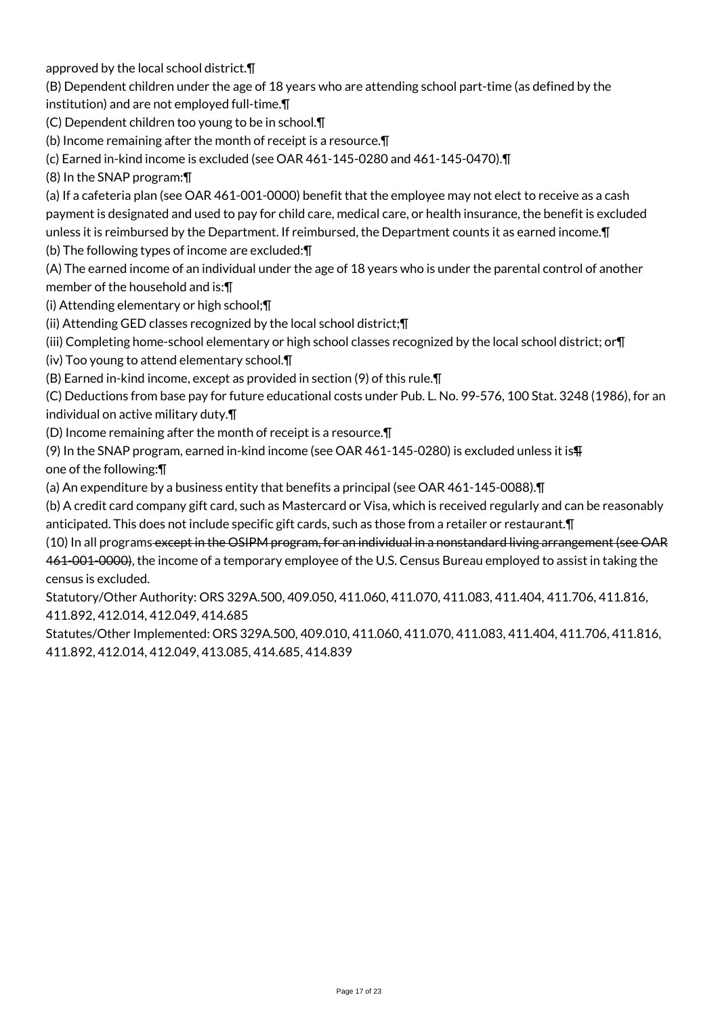approved by the local school district.¶

(B) Dependent children under the age of 18 years who are attending school part-time (as defined by the institution) and are not employed full-time.¶

(C) Dependent children too young to be in school.¶

(b) Income remaining after the month of receipt is a resource.¶

(c) Earned in-kind income is excluded (see OAR 461-145-0280 and 461-145-0470).¶

(8) In the SNAP program:¶

(a) If a cafeteria plan (see OAR 461-001-0000) benefit that the employee may not elect to receive as a cash payment is designated and used to pay for child care, medical care, or health insurance, the benefit is excluded unless it is reimbursed by the Department. If reimbursed, the Department counts it as earned income.¶

(b) The following types of income are excluded:¶

(A) The earned income of an individual under the age of 18 years who is under the parental control of another member of the household and is:¶

(i) Attending elementary or high school;¶

(ii) Attending GED classes recognized by the local school district;¶

(iii) Completing home-school elementary or high school classes recognized by the local school district; or¶

(iv) Too young to attend elementary school.¶

(B) Earned in-kind income, except as provided in section (9) of this rule.¶

(C) Deductions from base pay for future educational costs under Pub. L. No. 99-576, 100 Stat. 3248 (1986), for an individual on active military duty.¶

(D) Income remaining after the month of receipt is a resource.¶

(9) In the SNAP program, earned in-kind income (see OAR 461-145-0280) is excluded unless it is¶ one of the following:¶

(a) An expenditure by a business entity that benefits a principal (see OAR 461-145-0088).¶

(b) A credit card company gift card, such as Mastercard or Visa, which is received regularly and can be reasonably anticipated. This does not include specific gift cards, such as those from a retailer or restaurant.¶

(10) In all programs except in the OSIPM program, for an individual in a nonstandard living arrangement (see OAR 461-001-0000), the income of a temporary employee of the U.S. Census Bureau employed to assist in taking the census is excluded.

Statutory/Other Authority: ORS 329A.500, 409.050, 411.060, 411.070, 411.083, 411.404, 411.706, 411.816, 411.892, 412.014, 412.049, 414.685

Statutes/Other Implemented: ORS 329A.500, 409.010, 411.060, 411.070, 411.083, 411.404, 411.706, 411.816, 411.892, 412.014, 412.049, 413.085, 414.685, 414.839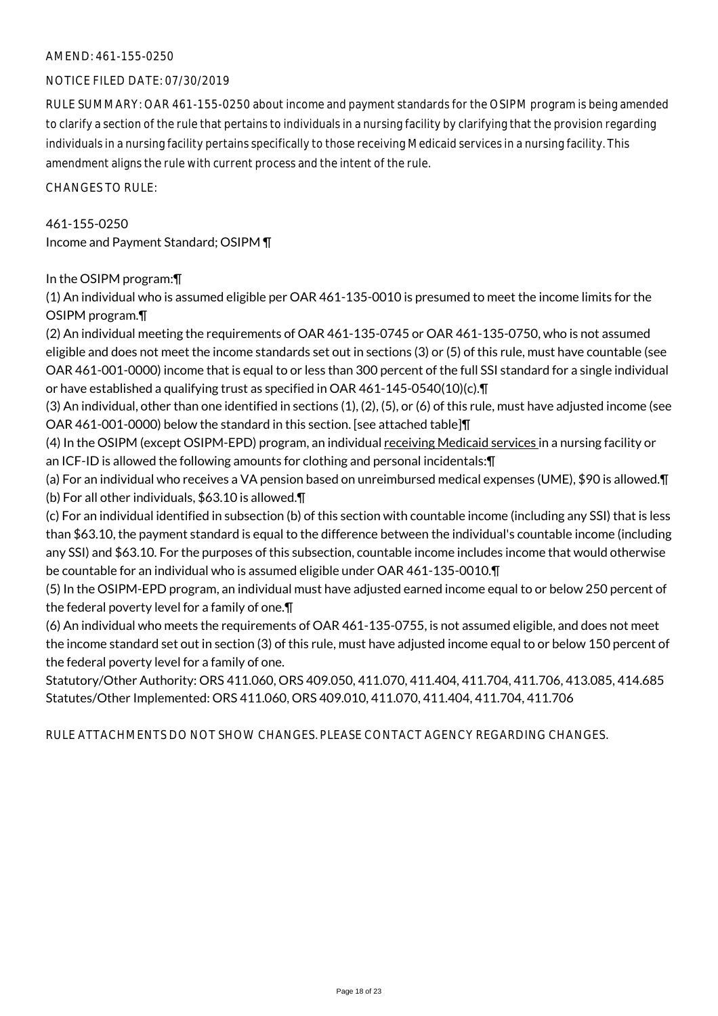#### AMEND: 461-155-0250

#### NOTICE FILED DATE: 07/30/2019

RULE SUMMARY: OAR 461-155-0250 about income and payment standards for the OSIPM program is being amended to clarify a section of the rule that pertains to individuals in a nursing facility by clarifying that the provision regarding individuals in a nursing facility pertains specifically to those receiving Medicaid services in a nursing facility. This amendment aligns the rule with current process and the intent of the rule.

CHANGES TO RULE:

461-155-0250 Income and Payment Standard; OSIPM ¶

In the OSIPM program:¶

(1) An individual who is assumed eligible per OAR 461-135-0010 is presumed to meet the income limits for the OSIPM program.¶

(2) An individual meeting the requirements of OAR 461-135-0745 or OAR 461-135-0750, who is not assumed eligible and does not meet the income standards set out in sections (3) or (5) of this rule, must have countable (see OAR 461-001-0000) income that is equal to or less than 300 percent of the full SSI standard for a single individual or have established a qualifying trust as specified in OAR 461-145-0540(10)(c).¶

(3) An individual, other than one identified in sections (1), (2), (5), or (6) of this rule, must have adjusted income (see OAR 461-001-0000) below the standard in this section. [see attached table]¶

(4) In the OSIPM (except OSIPM-EPD) program, an individual receiving Medicaid services in a nursing facility or an ICF-ID is allowed the following amounts for clothing and personal incidentals:¶

(a) For an individual who receives a VA pension based on unreimbursed medical expenses (UME), \$90 is allowed.¶ (b) For all other individuals, \$63.10 is allowed.¶

(c) For an individual identified in subsection (b) of this section with countable income (including any SSI) that is less than \$63.10, the payment standard is equal to the difference between the individual's countable income (including any SSI) and \$63.10. For the purposes of this subsection, countable income includes income that would otherwise be countable for an individual who is assumed eligible under OAR 461-135-0010.¶

(5) In the OSIPM-EPD program, an individual must have adjusted earned income equal to or below 250 percent of the federal poverty level for a family of one.¶

(6) An individual who meets the requirements of OAR 461-135-0755, is not assumed eligible, and does not meet the income standard set out in section (3) of this rule, must have adjusted income equal to or below 150 percent of the federal poverty level for a family of one.

Statutory/Other Authority: ORS 411.060, ORS 409.050, 411.070, 411.404, 411.704, 411.706, 413.085, 414.685 Statutes/Other Implemented: ORS 411.060, ORS 409.010, 411.070, 411.404, 411.704, 411.706

RULE ATTACHMENTS DO NOT SHOW CHANGES. PLEASE CONTACT AGENCY REGARDING CHANGES.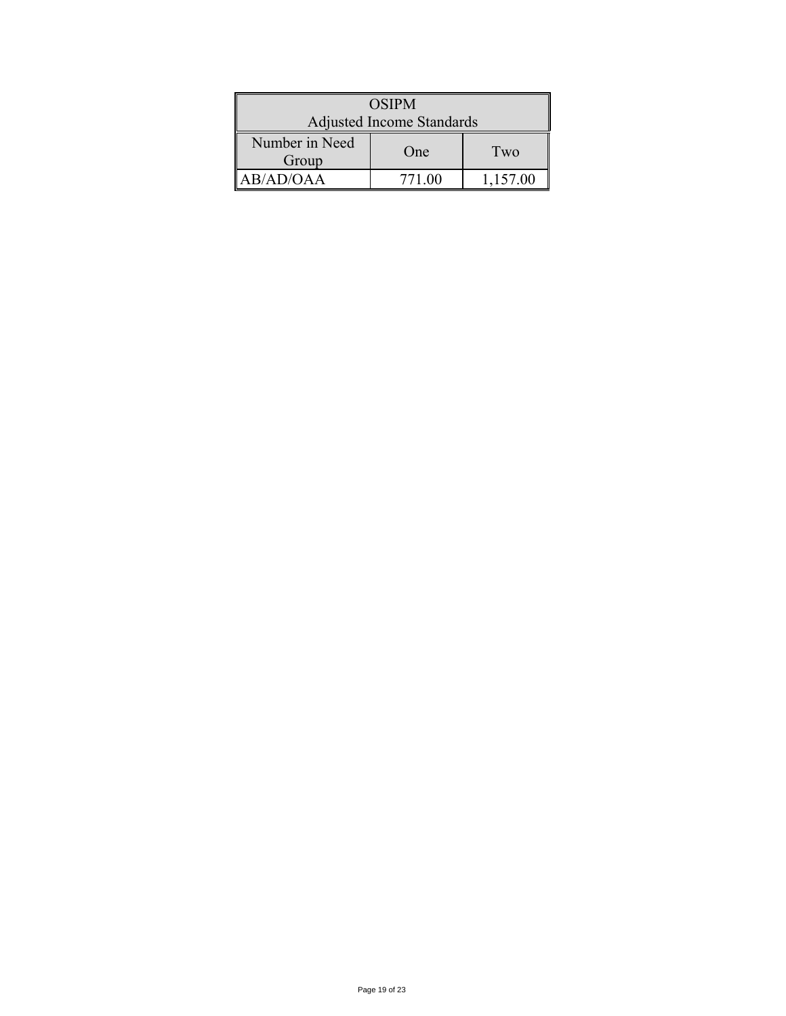| <b>OSIPM</b>              |        |          |  |  |  |
|---------------------------|--------|----------|--|--|--|
| Adjusted Income Standards |        |          |  |  |  |
| Number in Need<br>Group   | One    | Two      |  |  |  |
| AB/AD/OAA                 | 771.00 | 1,157.00 |  |  |  |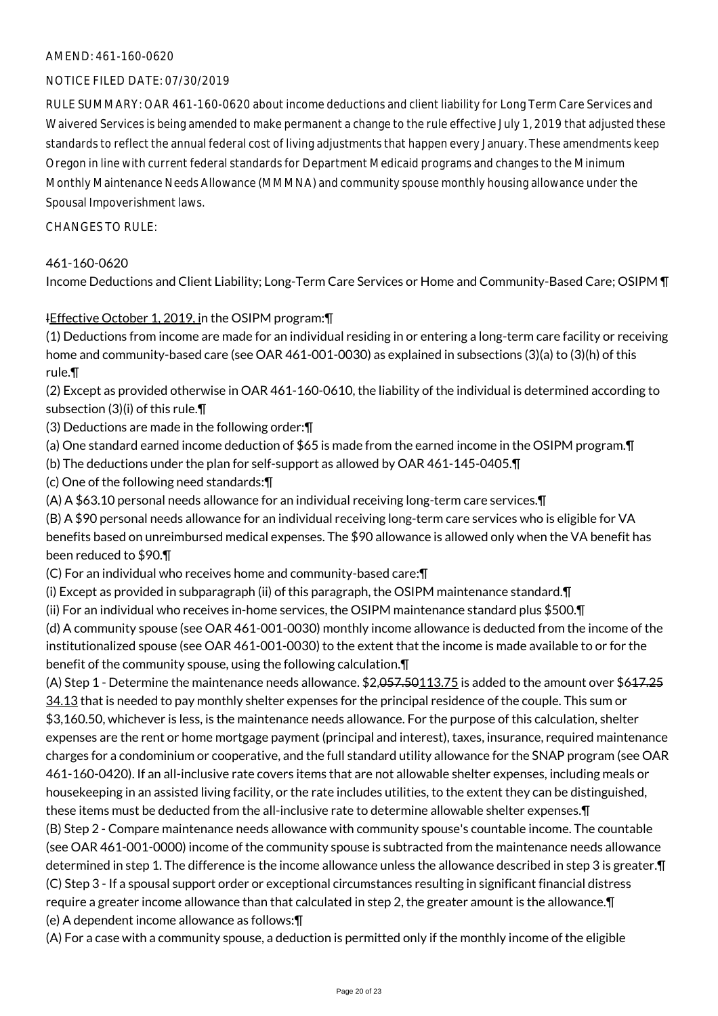#### AMEND: 461-160-0620

#### NOTICE FILED DATE: 07/30/2019

RULE SUMMARY: OAR 461-160-0620 about income deductions and client liability for Long Term Care Services and Waivered Services is being amended to make permanent a change to the rule effective July 1, 2019 that adjusted these standards to reflect the annual federal cost of living adjustments that happen every January. These amendments keep Oregon in line with current federal standards for Department Medicaid programs and changes to the Minimum Monthly Maintenance Needs Allowance (MMMNA) and community spouse monthly housing allowance under the Spousal Impoverishment laws.

#### CHANGES TO RULE:

#### 461-160-0620

Income Deductions and Client Liability; Long-Term Care Services or Home and Community-Based Care; OSIPM ¶

### IEffective October 1, 2019, in the OSIPM program:¶

(1) Deductions from income are made for an individual residing in or entering a long-term care facility or receiving home and community-based care (see OAR 461-001-0030) as explained in subsections (3)(a) to (3)(h) of this rule.¶

(2) Except as provided otherwise in OAR 461-160-0610, the liability of the individual is determined according to subsection (3)(i) of this rule.¶

(3) Deductions are made in the following order:¶

(a) One standard earned income deduction of \$65 is made from the earned income in the OSIPM program.¶

(b) The deductions under the plan for self-support as allowed by OAR 461-145-0405.¶

(c) One of the following need standards:¶

(A) A \$63.10 personal needs allowance for an individual receiving long-term care services.¶

(B) A \$90 personal needs allowance for an individual receiving long-term care services who is eligible for VA benefits based on unreimbursed medical expenses. The \$90 allowance is allowed only when the VA benefit has been reduced to \$90.¶

(C) For an individual who receives home and community-based care:¶

(i) Except as provided in subparagraph (ii) of this paragraph, the OSIPM maintenance standard.¶

(ii) For an individual who receives in-home services, the OSIPM maintenance standard plus \$500.¶

(d) A community spouse (see OAR 461-001-0030) monthly income allowance is deducted from the income of the institutionalized spouse (see OAR 461-001-0030) to the extent that the income is made available to or for the benefit of the community spouse, using the following calculation.¶

(A) Step 1 - Determine the maintenance needs allowance. \$2,057.50113.75 is added to the amount over \$617.25 34.13 that is needed to pay monthly shelter expenses for the principal residence of the couple. This sum or \$3,160.50, whichever is less, is the maintenance needs allowance. For the purpose of this calculation, shelter expenses are the rent or home mortgage payment (principal and interest), taxes, insurance, required maintenance charges for a condominium or cooperative, and the full standard utility allowance for the SNAP program (see OAR 461-160-0420). If an all-inclusive rate covers items that are not allowable shelter expenses, including meals or housekeeping in an assisted living facility, or the rate includes utilities, to the extent they can be distinguished, these items must be deducted from the all-inclusive rate to determine allowable shelter expenses.¶ (B) Step 2 - Compare maintenance needs allowance with community spouse's countable income. The countable

(see OAR 461-001-0000) income of the community spouse is subtracted from the maintenance needs allowance determined in step 1. The difference is the income allowance unless the allowance described in step 3 is greater.¶ (C) Step 3 - If a spousal support order or exceptional circumstances resulting in significant financial distress require a greater income allowance than that calculated in step 2, the greater amount is the allowance.¶

(e) A dependent income allowance as follows:¶

(A) For a case with a community spouse, a deduction is permitted only if the monthly income of the eligible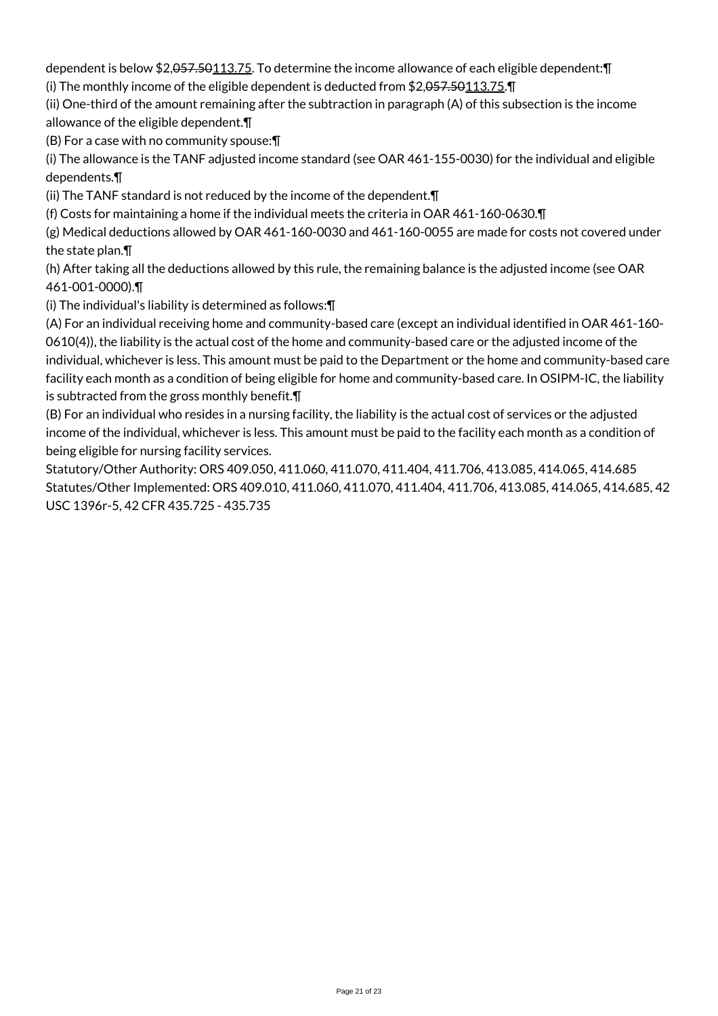dependent is below \$2,057.50113.75. To determine the income allowance of each eligible dependent:¶ (i) The monthly income of the eligible dependent is deducted from \$2,057.50113.75.¶

(ii) One-third of the amount remaining after the subtraction in paragraph (A) of this subsection is the income allowance of the eligible dependent.¶

(B) For a case with no community spouse:¶

(i) The allowance is the TANF adjusted income standard (see OAR 461-155-0030) for the individual and eligible dependents.¶

(ii) The TANF standard is not reduced by the income of the dependent.¶

(f) Costs for maintaining a home if the individual meets the criteria in OAR 461-160-0630.¶

(g) Medical deductions allowed by OAR 461-160-0030 and 461-160-0055 are made for costs not covered under the state plan.¶

(h) After taking all the deductions allowed by this rule, the remaining balance is the adjusted income (see OAR 461-001-0000).¶

(i) The individual's liability is determined as follows:¶

(A) For an individual receiving home and community-based care (except an individual identified in OAR 461-160- 0610(4)), the liability is the actual cost of the home and community-based care or the adjusted income of the individual, whichever is less. This amount must be paid to the Department or the home and community-based care facility each month as a condition of being eligible for home and community-based care. In OSIPM-IC, the liability is subtracted from the gross monthly benefit.¶

(B) For an individual who resides in a nursing facility, the liability is the actual cost of services or the adjusted income of the individual, whichever is less. This amount must be paid to the facility each month as a condition of being eligible for nursing facility services.

Statutory/Other Authority: ORS 409.050, 411.060, 411.070, 411.404, 411.706, 413.085, 414.065, 414.685 Statutes/Other Implemented: ORS 409.010, 411.060, 411.070, 411.404, 411.706, 413.085, 414.065, 414.685, 42 USC 1396r-5, 42 CFR 435.725 - 435.735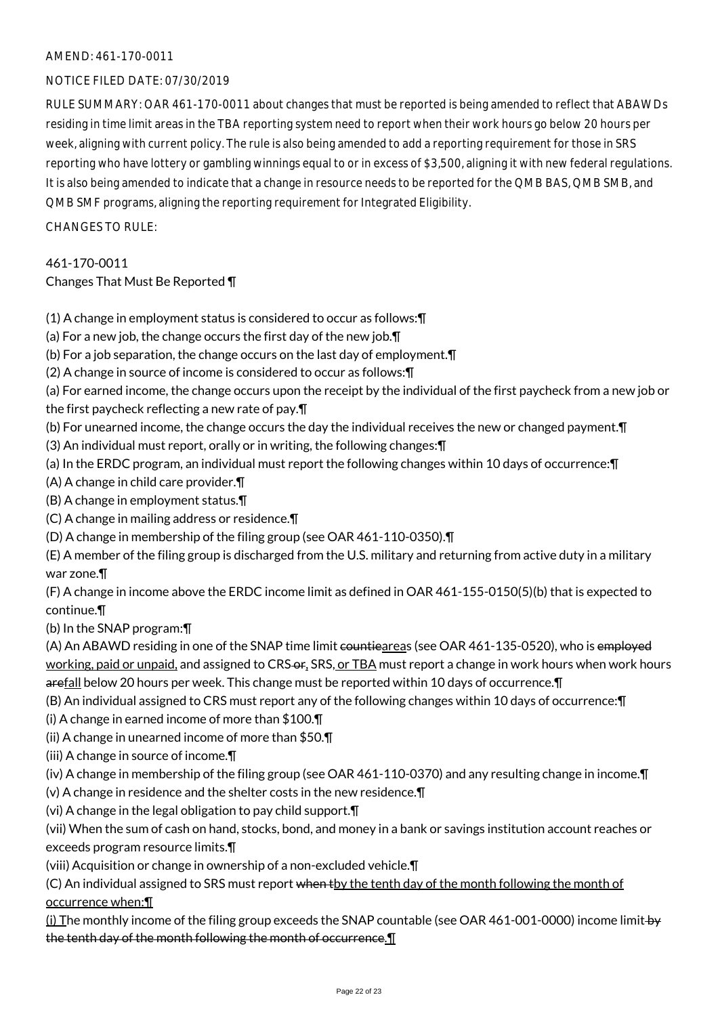#### AMEND: 461-170-0011

#### NOTICE FILED DATE: 07/30/2019

RULE SUMMARY: OAR 461-170-0011 about changes that must be reported is being amended to reflect that ABAWDs residing in time limit areas in the TBA reporting system need to report when their work hours go below 20 hours per week, aligning with current policy. The rule is also being amended to add a reporting requirement for those in SRS reporting who have lottery or gambling winnings equal to or in excess of \$3,500, aligning it with new federal regulations. It is also being amended to indicate that a change in resource needs to be reported for the QMB BAS, QMB SMB, and QMB SMF programs, aligning the reporting requirement for Integrated Eligibility.

CHANGES TO RULE:

# 461-170-0011

# Changes That Must Be Reported ¶

(1) A change in employment status is considered to occur as follows:¶

(a) For a new job, the change occurs the first day of the new job.¶

- (b) For a job separation, the change occurs on the last day of employment.¶
- (2) A change in source of income is considered to occur as follows:¶
- (a) For earned income, the change occurs upon the receipt by the individual of the first paycheck from a new job or the first paycheck reflecting a new rate of pay.¶
- (b) For unearned income, the change occurs the day the individual receives the new or changed payment.¶
- (3) An individual must report, orally or in writing, the following changes:¶
- (a) In the ERDC program, an individual must report the following changes within 10 days of occurrence:¶
- (A) A change in child care provider.¶
- (B) A change in employment status.¶
- (C) A change in mailing address or residence.¶
- (D) A change in membership of the filing group (see OAR 461-110-0350).¶
- (E) A member of the filing group is discharged from the U.S. military and returning from active duty in a military war zone.¶

(F) A change in income above the ERDC income limit as defined in OAR 461-155-0150(5)(b) that is expected to continue.¶

(b) In the SNAP program:¶

(A) An ABAWD residing in one of the SNAP time limit countieareas (see OAR 461-135-0520), who is employed working, paid or unpaid, and assigned to CRS-or, SRS, or TBA must report a change in work hours when work hours arefall below 20 hours per week. This change must be reported within 10 days of occurrence.¶

(B) An individual assigned to CRS must report any of the following changes within 10 days of occurrence:¶

(i) A change in earned income of more than \$100.¶

(ii) A change in unearned income of more than \$50.¶

(iii) A change in source of income.¶

(iv) A change in membership of the filing group (see OAR 461-110-0370) and any resulting change in income.¶

- (v) A change in residence and the shelter costs in the new residence.¶
- (vi) A change in the legal obligation to pay child support.¶

(vii) When the sum of cash on hand, stocks, bond, and money in a bank or savings institution account reaches or exceeds program resource limits.¶

(viii) Acquisition or change in ownership of a non-excluded vehicle.¶

(C) An individual assigned to SRS must report when the tenth day of the month following the month of occurrence when:¶

(i) The monthly income of the filing group exceeds the SNAP countable (see OAR 461-001-0000) income limit  $\leftrightarrow$ the tenth day of the month following the month of occurrence.¶